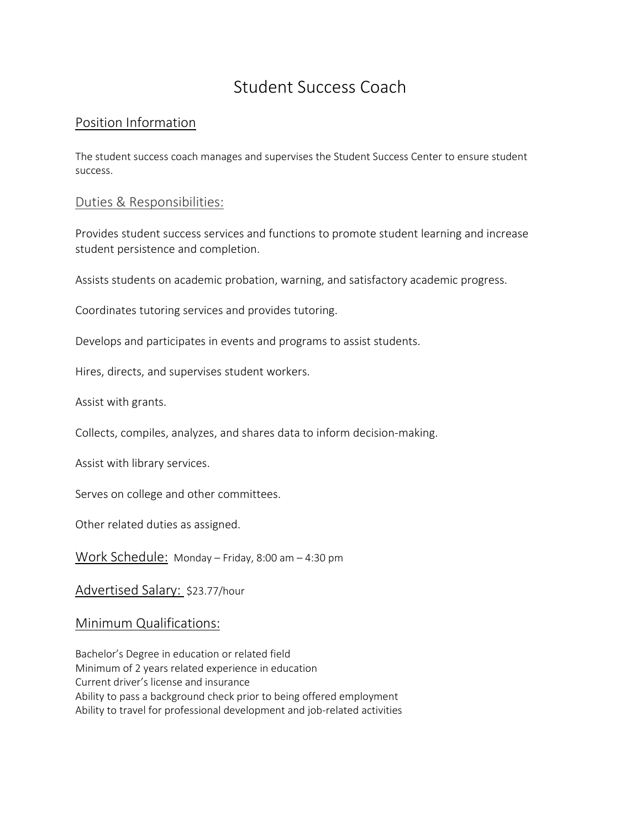# Student Success Coach

### Position Information

The student success coach manages and supervises the Student Success Center to ensure student success.

#### Duties & Responsibilities:

Provides student success services and functions to promote student learning and increase student persistence and completion.

Assists students on academic probation, warning, and satisfactory academic progress.

Coordinates tutoring services and provides tutoring.

Develops and participates in events and programs to assist students.

Hires, directs, and supervises student workers.

Assist with grants.

Collects, compiles, analyzes, and shares data to inform decision-making.

Assist with library services.

Serves on college and other committees.

Other related duties as assigned.

Work Schedule: Monday – Friday, 8:00 am – 4:30 pm

Advertised Salary: \$23.77/hour

#### Minimum Qualifications:

Bachelor's Degree in education or related field Minimum of 2 years related experience in education Current driver's license and insurance Ability to pass a background check prior to being offered employment Ability to travel for professional development and job-related activities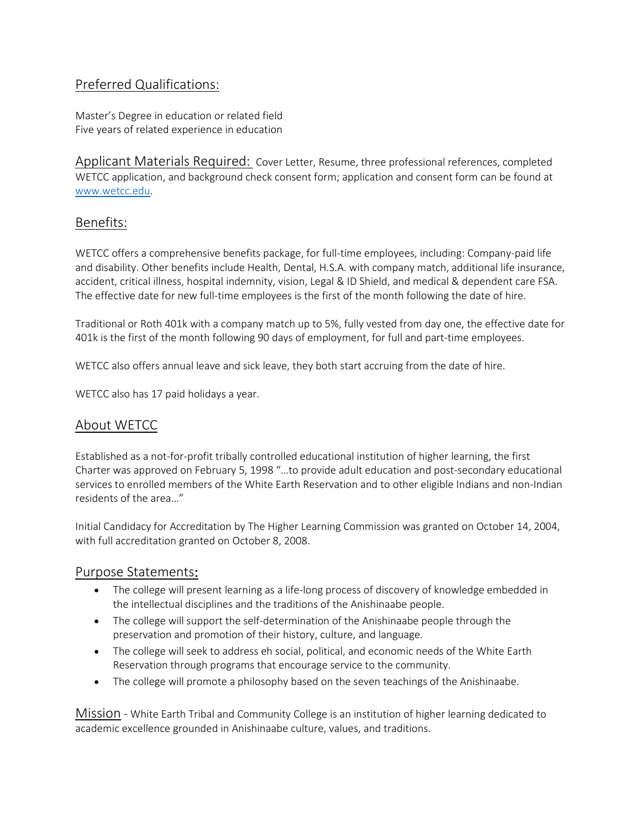# Preferred Qualifications:

Master's Degree in education or related field Five years of related experience in education

Applicant Materials Required: Cover Letter, Resume, three professional references, completed WETCC application, and background check consent form; application and consent form can be found at [www.wetcc.edu.](http://www.wetcc.edu/)

### Benefits:

WETCC offers a comprehensive benefits package, for full-time employees, including: Company-paid life and disability. Other benefits include Health, Dental, H.S.A. with company match, additional life insurance, accident, critical illness, hospital indemnity, vision, Legal & ID Shield, and medical & dependent care FSA. The effective date for new full-time employees is the first of the month following the date of hire.

Traditional or Roth 401k with a company match up to 5%, fully vested from day one, the effective date for 401k is the first of the month following 90 days of employment, for full and part-time employees.

WETCC also offers annual leave and sick leave, they both start accruing from the date of hire.

WETCC also has 17 paid holidays a year.

# About WETCC

Established as a not-for-profit tribally controlled educational institution of higher learning, the first Charter was approved on February 5, 1998 "…to provide adult education and post-secondary educational services to enrolled members of the White Earth Reservation and to other eligible Indians and non-Indian residents of the area…"

Initial Candidacy for Accreditation by The Higher Learning Commission was granted on October 14, 2004, with full accreditation granted on October 8, 2008.

#### Purpose Statements:

- The college will present learning as a life-long process of discovery of knowledge embedded in the intellectual disciplines and the traditions of the Anishinaabe people.
- The college will support the self-determination of the Anishinaabe people through the preservation and promotion of their history, culture, and language.
- The college will seek to address eh social, political, and economic needs of the White Earth Reservation through programs that encourage service to the community.
- The college will promote a philosophy based on the seven teachings of the Anishinaabe.

Mission - White Earth Tribal and Community College is an institution of higher learning dedicated to academic excellence grounded in Anishinaabe culture, values, and traditions.